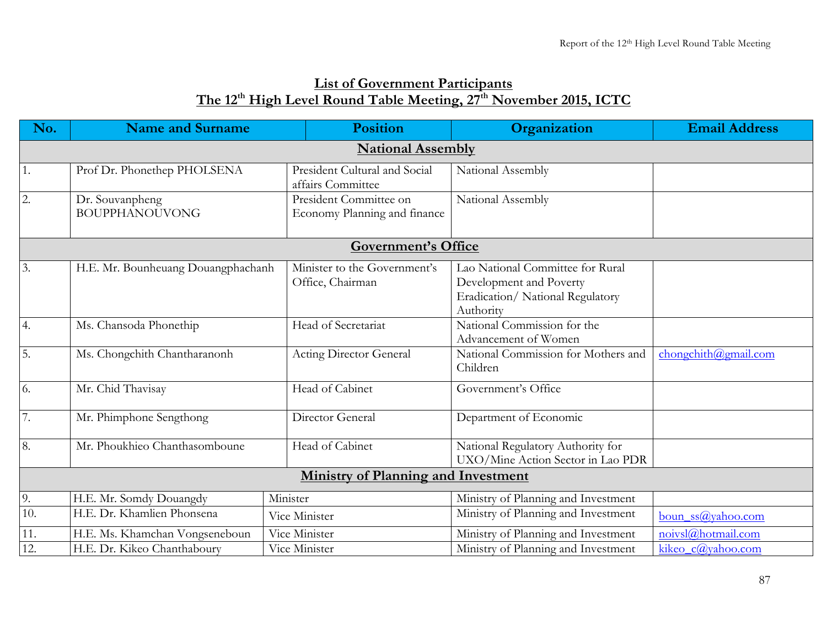## **List of Government Participants The 12th High Level Round Table Meeting, 27th November 2015, ICTC**

| No.               | <b>Name and Surname</b>                  |               | <b>Position</b>                                        | Organization                                                                                                 | <b>Email Address</b> |  |  |  |
|-------------------|------------------------------------------|---------------|--------------------------------------------------------|--------------------------------------------------------------------------------------------------------------|----------------------|--|--|--|
|                   | <b>National Assembly</b>                 |               |                                                        |                                                                                                              |                      |  |  |  |
| 1.                | Prof Dr. Phonethep PHOLSENA              |               | President Cultural and Social<br>affairs Committee     | National Assembly                                                                                            |                      |  |  |  |
| 2.                | Dr. Souvanpheng<br><b>BOUPPHANOUVONG</b> |               | President Committee on<br>Economy Planning and finance | National Assembly                                                                                            |                      |  |  |  |
|                   |                                          |               | <b>Government's Office</b>                             |                                                                                                              |                      |  |  |  |
| $\overline{3}$ .  | H.E. Mr. Bounheuang Douangphachanh       |               | Minister to the Government's<br>Office, Chairman       | Lao National Committee for Rural<br>Development and Poverty<br>Eradication/ National Regulatory<br>Authority |                      |  |  |  |
| 4.                | Ms. Chansoda Phonethip                   |               | Head of Secretariat                                    | National Commission for the<br>Advancement of Women                                                          |                      |  |  |  |
| $\overline{5}$ .  | Ms. Chongchith Chantharanonh             |               | <b>Acting Director General</b>                         | National Commission for Mothers and<br>Children                                                              | chongchith@gmail.com |  |  |  |
| $\overline{6}$ .  | Mr. Chid Thavisay                        |               | Head of Cabinet                                        | Government's Office                                                                                          |                      |  |  |  |
| $\overline{7}$ .  | Mr. Phimphone Sengthong                  |               | Director General                                       | Department of Economic                                                                                       |                      |  |  |  |
| 8.                | Mr. Phoukhieo Chanthasomboune            |               | Head of Cabinet                                        | National Regulatory Authority for<br>UXO/Mine Action Sector in Lao PDR                                       |                      |  |  |  |
|                   |                                          |               | <b>Ministry of Planning and Investment</b>             |                                                                                                              |                      |  |  |  |
| 9.                | H.E. Mr. Somdy Douangdy                  | Minister      |                                                        | Ministry of Planning and Investment                                                                          |                      |  |  |  |
| 10.               | H.E. Dr. Khamlien Phonsena               |               | Vice Minister                                          | Ministry of Planning and Investment                                                                          | boun $ss@$ yahoo.com |  |  |  |
| $11.$             | H.E. Ms. Khamchan Vongseneboun           | Vice Minister |                                                        | Ministry of Planning and Investment                                                                          | noivsl@hotmail.com   |  |  |  |
| $\overline{12}$ . | H.E. Dr. Kikeo Chanthaboury              | Vice Minister |                                                        | Ministry of Planning and Investment                                                                          | kikeo_c@yahoo.com    |  |  |  |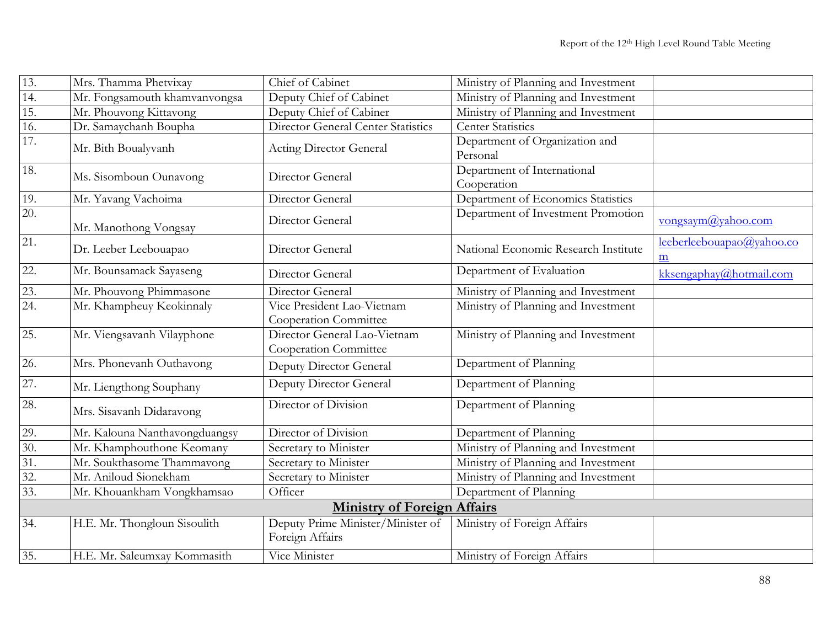| 13.               | Mrs. Thamma Phetvixay         | Chief of Cabinet                                      | Ministry of Planning and Investment        |                                                       |
|-------------------|-------------------------------|-------------------------------------------------------|--------------------------------------------|-------------------------------------------------------|
| 14.               | Mr. Fongsamouth khamvanvongsa | Deputy Chief of Cabinet                               | Ministry of Planning and Investment        |                                                       |
| $\overline{15}$ . | Mr. Phouvong Kittavong        | Deputy Chief of Cabiner                               | Ministry of Planning and Investment        |                                                       |
| 16.               | Dr. Samaychanh Boupha         | <b>Director General Center Statistics</b>             | <b>Center Statistics</b>                   |                                                       |
| 17.               | Mr. Bith Boualyvanh           | Acting Director General                               | Department of Organization and<br>Personal |                                                       |
| 18.               | Ms. Sisomboun Ounavong        | Director General                                      | Department of International<br>Cooperation |                                                       |
| 19.               | Mr. Yavang Vachoima           | Director General                                      | Department of Economics Statistics         |                                                       |
| 20.               | Mr. Manothong Vongsay         | Director General                                      | Department of Investment Promotion         | vongsaym@yahoo.com                                    |
| 21.               | Dr. Leeber Leebouapao         | Director General                                      | National Economic Research Institute       | leeberleebouapao@yahoo.co<br>$\underline{\mathbf{m}}$ |
| $\overline{22}$ . | Mr. Bounsamack Sayaseng       | Director General                                      | Department of Evaluation                   | kksengaphay@hotmail.com                               |
| 23.               | Mr. Phouvong Phimmasone       | Director General                                      | Ministry of Planning and Investment        |                                                       |
| $\overline{24}$ . | Mr. Khampheuy Keokinnaly      | Vice President Lao-Vietnam<br>Cooperation Committee   | Ministry of Planning and Investment        |                                                       |
| 25.               | Mr. Viengsavanh Vilayphone    | Director General Lao-Vietnam<br>Cooperation Committee | Ministry of Planning and Investment        |                                                       |
| 26.               | Mrs. Phonevanh Outhavong      | Deputy Director General                               | Department of Planning                     |                                                       |
| 27.               | Mr. Liengthong Souphany       | Deputy Director General                               | Department of Planning                     |                                                       |
| 28.               | Mrs. Sisavanh Didaravong      | Director of Division                                  | Department of Planning                     |                                                       |
| 29.               | Mr. Kalouna Nanthavongduangsy | Director of Division                                  | Department of Planning                     |                                                       |
| 30.               | Mr. Khamphouthone Keomany     | Secretary to Minister                                 | Ministry of Planning and Investment        |                                                       |
| $\overline{31}$ . | Mr. Soukthasome Thammavong    | Secretary to Minister                                 | Ministry of Planning and Investment        |                                                       |
| $\overline{32}$ . | Mr. Aniloud Sionekham         | Secretary to Minister                                 | Ministry of Planning and Investment        |                                                       |
| $\overline{33}$ . | Mr. Khouankham Vongkhamsao    | Officer                                               | Department of Planning                     |                                                       |
|                   |                               | <b>Ministry of Foreign Affairs</b>                    |                                            |                                                       |
| 34.               | H.E. Mr. Thongloun Sisoulith  | Deputy Prime Minister/Minister of<br>Foreign Affairs  | Ministry of Foreign Affairs                |                                                       |
| 35.               | H.E. Mr. Saleumxay Kommasith  | Vice Minister                                         | Ministry of Foreign Affairs                |                                                       |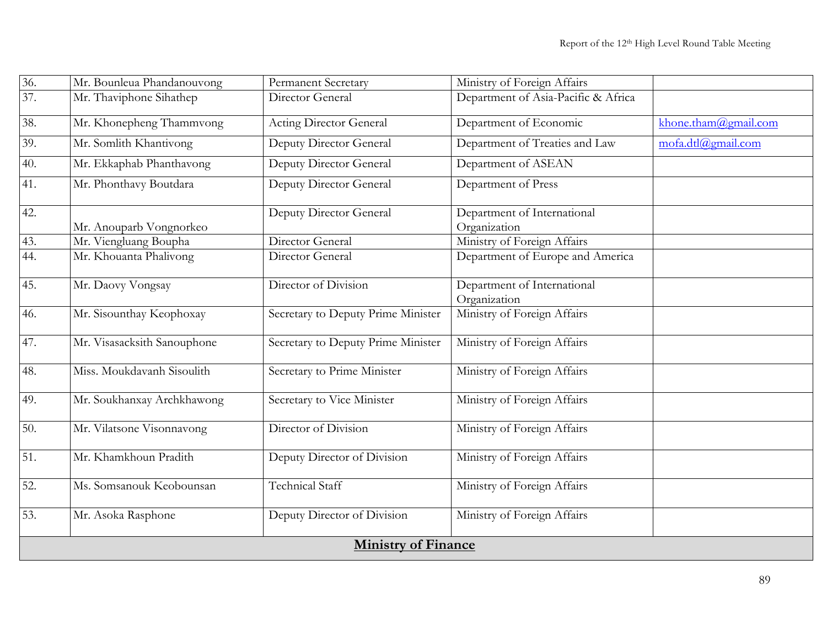| 36.             | Mr. Bounleua Phandanouvong  | <b>Permanent Secretary</b>         | Ministry of Foreign Affairs                 |                      |  |  |
|-----------------|-----------------------------|------------------------------------|---------------------------------------------|----------------------|--|--|
| 37.             | Mr. Thaviphone Sihathep     | Director General                   | Department of Asia-Pacific & Africa         |                      |  |  |
| 38.             | Mr. Khonepheng Thammvong    | <b>Acting Director General</b>     | Department of Economic                      | khone.tham@gmail.com |  |  |
| 39.             | Mr. Somlith Khantivong      | Deputy Director General            | Department of Treaties and Law              | mofa.dtl@gmail.com   |  |  |
| 40.             | Mr. Ekkaphab Phanthavong    | Deputy Director General            | Department of ASEAN                         |                      |  |  |
| 41.             | Mr. Phonthavy Boutdara      | Deputy Director General            | Department of Press                         |                      |  |  |
| 42.             | Mr. Anouparb Vongnorkeo     | Deputy Director General            | Department of International<br>Organization |                      |  |  |
| 43.             | Mr. Viengluang Boupha       | Director General                   | Ministry of Foreign Affairs                 |                      |  |  |
| 44.             | Mr. Khouanta Phalivong      | Director General                   | Department of Europe and America            |                      |  |  |
| 45.             | Mr. Daovy Vongsay           | Director of Division               | Department of International<br>Organization |                      |  |  |
| 46.             | Mr. Sisounthay Keophoxay    | Secretary to Deputy Prime Minister | Ministry of Foreign Affairs                 |                      |  |  |
| 47.             | Mr. Visasacksith Sanouphone | Secretary to Deputy Prime Minister | Ministry of Foreign Affairs                 |                      |  |  |
| 48.             | Miss. Moukdavanh Sisoulith  | Secretary to Prime Minister        | Ministry of Foreign Affairs                 |                      |  |  |
| 49.             | Mr. Soukhanxay Archkhawong  | Secretary to Vice Minister         | Ministry of Foreign Affairs                 |                      |  |  |
| 50.             | Mr. Vilatsone Visonnavong   | Director of Division               | Ministry of Foreign Affairs                 |                      |  |  |
| 51.             | Mr. Khamkhoun Pradith       | Deputy Director of Division        | Ministry of Foreign Affairs                 |                      |  |  |
| $\overline{52}$ | Ms. Somsanouk Keobounsan    | Technical Staff                    | Ministry of Foreign Affairs                 |                      |  |  |
| 53.             | Mr. Asoka Rasphone          | Deputy Director of Division        | Ministry of Foreign Affairs                 |                      |  |  |
|                 | <b>Ministry of Finance</b>  |                                    |                                             |                      |  |  |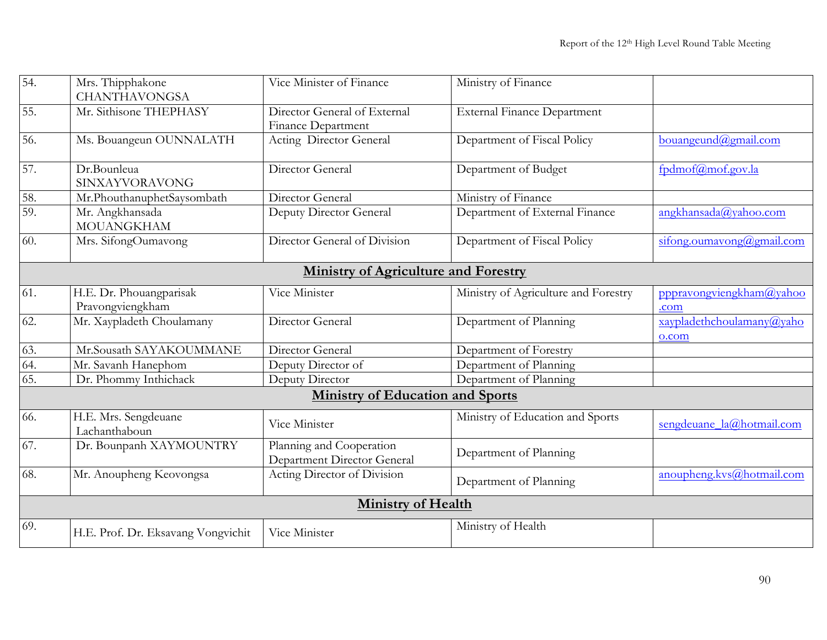| $\overline{54}$                             | Mrs. Thipphakone<br><b>CHANTHAVONGSA</b>    | Vice Minister of Finance                                       | Ministry of Finance                  |                                    |  |  |
|---------------------------------------------|---------------------------------------------|----------------------------------------------------------------|--------------------------------------|------------------------------------|--|--|
| $\overline{55}$ .                           | Mr. Sithisone THEPHASY                      | Director General of External<br><b>Finance Department</b>      | <b>External Finance Department</b>   |                                    |  |  |
| $\overline{56}$ .                           | Ms. Bouangeun OUNNALATH                     | Acting Director General                                        | Department of Fiscal Policy          | bouangeund@gmail.com               |  |  |
| 57.                                         | Dr.Bounleua<br>SINXAYVORAVONG               | Director General                                               | Department of Budget                 | fpdmof@mof.gov.la                  |  |  |
| 58.                                         | Mr.PhouthanuphetSaysombath                  | Director General                                               | Ministry of Finance                  |                                    |  |  |
| 59.                                         | Mr. Angkhansada<br><b>MOUANGKHAM</b>        | Deputy Director General                                        | Department of External Finance       | angkhansada@yahoo.com              |  |  |
| 60.                                         | Mrs. SifongOumavong                         | Director General of Division                                   | Department of Fiscal Policy          | sifong.oumavong@gmail.com          |  |  |
| <b>Ministry of Agriculture and Forestry</b> |                                             |                                                                |                                      |                                    |  |  |
| 61.                                         | H.E. Dr. Phouangparisak<br>Pravongviengkham | Vice Minister                                                  | Ministry of Agriculture and Forestry | pppravongviengkham@yahoo<br>.com   |  |  |
| 62.                                         | Mr. Xaypladeth Choulamany                   | Director General                                               | Department of Planning               | xaypladethchoulamany@yaho<br>o.com |  |  |
| 63.                                         | Mr.Sousath SAYAKOUMMANE                     | Director General                                               | Department of Forestry               |                                    |  |  |
| 64.                                         | Mr. Savanh Hanephom                         | Deputy Director of                                             | Department of Planning               |                                    |  |  |
| $\overline{65}$                             | Dr. Phommy Inthichack                       | Deputy Director                                                | Department of Planning               |                                    |  |  |
|                                             |                                             | <b>Ministry of Education and Sports</b>                        |                                      |                                    |  |  |
| 66.                                         | H.E. Mrs. Sengdeuane<br>Lachanthaboun       | Vice Minister                                                  | Ministry of Education and Sports     | sengdeuane la@hotmail.com          |  |  |
| 67.                                         | Dr. Bounpanh XAYMOUNTRY                     | Planning and Cooperation<br><b>Department Director General</b> | Department of Planning               |                                    |  |  |
| 68.                                         | Mr. Anoupheng Keovongsa                     | Acting Director of Division                                    | Department of Planning               | anoupheng.kvs@hotmail.com          |  |  |
|                                             |                                             | <b>Ministry of Health</b>                                      |                                      |                                    |  |  |
| 69.                                         | H.E. Prof. Dr. Eksavang Vongvichit          | Vice Minister                                                  | Ministry of Health                   |                                    |  |  |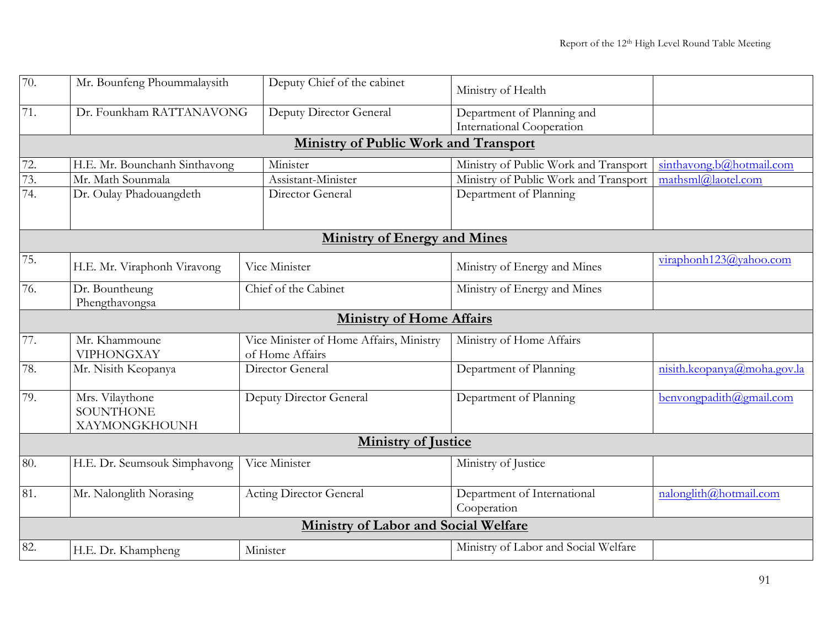| 70.               | Mr. Bounfeng Phoummalaysith                   | Deputy Chief of the cabinet                                | Ministry of Health                                      |                              |  |  |  |
|-------------------|-----------------------------------------------|------------------------------------------------------------|---------------------------------------------------------|------------------------------|--|--|--|
| 71.               | Dr. Founkham RATTANAVONG                      | Deputy Director General                                    | Department of Planning and<br>International Cooperation |                              |  |  |  |
|                   |                                               | <b>Ministry of Public Work and Transport</b>               |                                                         |                              |  |  |  |
| $\overline{72}$ . | H.E. Mr. Bounchanh Sinthavong                 | Minister                                                   | Ministry of Public Work and Transport                   | sinthavong.b@hotmail.com     |  |  |  |
| 73.               | Mr. Math Sounmala                             | Assistant-Minister                                         | Ministry of Public Work and Transport                   | $mathom{a}$ thsml@laotel.com |  |  |  |
| 74.               | Dr. Oulay Phadouangdeth                       | Director General                                           | Department of Planning                                  |                              |  |  |  |
|                   |                                               |                                                            |                                                         |                              |  |  |  |
|                   |                                               | <b>Ministry of Energy and Mines</b>                        |                                                         |                              |  |  |  |
| 75.               | H.E. Mr. Viraphonh Viravong                   | Vice Minister                                              | Ministry of Energy and Mines                            | viraphonh123@yahoo.com       |  |  |  |
| 76.               | Dr. Bountheung<br>Phengthavongsa              | Chief of the Cabinet                                       | Ministry of Energy and Mines                            |                              |  |  |  |
|                   | <b>Ministry of Home Affairs</b>               |                                                            |                                                         |                              |  |  |  |
| 77.               | Mr. Khammoune<br><b>VIPHONGXAY</b>            | Vice Minister of Home Affairs, Ministry<br>of Home Affairs | Ministry of Home Affairs                                |                              |  |  |  |
| 78.               | Mr. Nisith Keopanya                           | Director General                                           | Department of Planning                                  | nisth.keopanya@moha.gov.la   |  |  |  |
| 79.               | Mrs. Vilaythone<br>SOUNTHONE<br>XAYMONGKHOUNH | Deputy Director General                                    | Department of Planning                                  | benvongpadith@gmail.com      |  |  |  |
|                   | <b>Ministry of Justice</b>                    |                                                            |                                                         |                              |  |  |  |
| 80.               | H.E. Dr. Seumsouk Simphavong                  | Vice Minister                                              | Ministry of Justice                                     |                              |  |  |  |
| 81.               | Mr. Nalonglith Norasing                       | <b>Acting Director General</b>                             | Department of International<br>Cooperation              | nalonglith@hotmail.com       |  |  |  |
|                   |                                               | <b>Ministry of Labor and Social Welfare</b>                |                                                         |                              |  |  |  |
| 82.               | H.E. Dr. Khampheng                            | Minister                                                   | Ministry of Labor and Social Welfare                    |                              |  |  |  |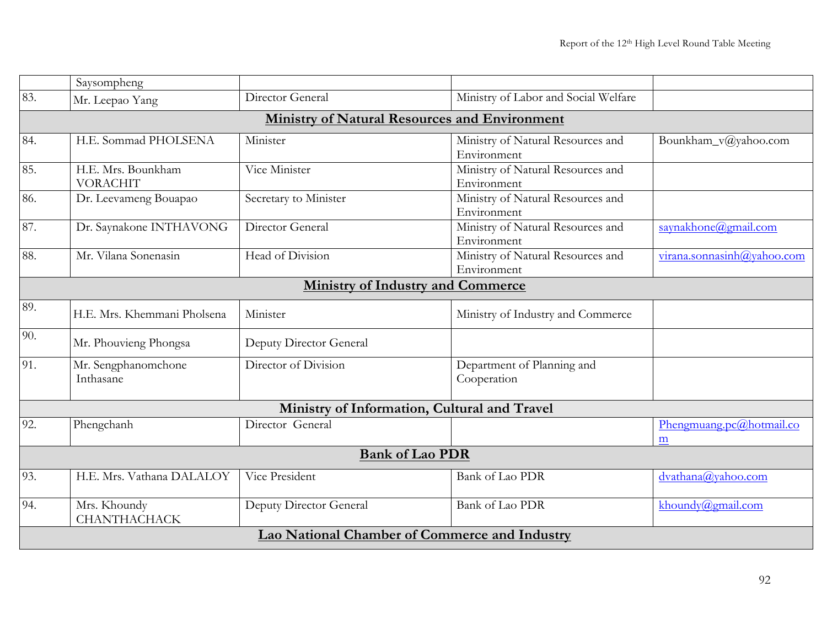|                                               | Saysompheng                                          |                                          |                                                  |                               |  |  |  |
|-----------------------------------------------|------------------------------------------------------|------------------------------------------|--------------------------------------------------|-------------------------------|--|--|--|
| 83.                                           | Mr. Leepao Yang                                      | Director General                         | Ministry of Labor and Social Welfare             |                               |  |  |  |
|                                               | <b>Ministry of Natural Resources and Environment</b> |                                          |                                                  |                               |  |  |  |
| 84.                                           | H.E. Sommad PHOLSENA                                 | Minister                                 | Ministry of Natural Resources and<br>Environment | Bounkham_v@yahoo.com          |  |  |  |
| 85.                                           | H.E. Mrs. Bounkham<br><b>VORACHIT</b>                | Vice Minister                            | Ministry of Natural Resources and<br>Environment |                               |  |  |  |
| 86.                                           | Dr. Leevameng Bouapao                                | Secretary to Minister                    | Ministry of Natural Resources and<br>Environment |                               |  |  |  |
| 87.                                           | Dr. Saynakone INTHAVONG                              | Director General                         | Ministry of Natural Resources and<br>Environment | saynakhone@gmail.com          |  |  |  |
| 88.                                           | Mr. Vilana Sonenasin                                 | Head of Division                         | Ministry of Natural Resources and<br>Environment | virana.sonnasinh@yahoo.com    |  |  |  |
|                                               |                                                      | <b>Ministry of Industry and Commerce</b> |                                                  |                               |  |  |  |
| 89.                                           | H.E. Mrs. Khemmani Pholsena                          | Minister                                 | Ministry of Industry and Commerce                |                               |  |  |  |
| 90.                                           | Mr. Phouvieng Phongsa                                | Deputy Director General                  |                                                  |                               |  |  |  |
| 91.                                           | Mr. Sengphanomchone<br>Inthasane                     | Director of Division                     | Department of Planning and<br>Cooperation        |                               |  |  |  |
| Ministry of Information, Cultural and Travel  |                                                      |                                          |                                                  |                               |  |  |  |
| 92.                                           | Phengchanh                                           | Director General                         |                                                  | Phengmuang.pc@hotmail.co<br>m |  |  |  |
| <b>Bank of Lao PDR</b>                        |                                                      |                                          |                                                  |                               |  |  |  |
| 93.                                           | H.E. Mrs. Vathana DALALOY                            | Vice President                           | <b>Bank of Lao PDR</b>                           | dvathana@yahoo.com            |  |  |  |
| 94.                                           | Mrs. Khoundy<br><b>CHANTHACHACK</b>                  | Deputy Director General                  | <b>Bank of Lao PDR</b>                           | khoundy@gmail.com             |  |  |  |
| Lao National Chamber of Commerce and Industry |                                                      |                                          |                                                  |                               |  |  |  |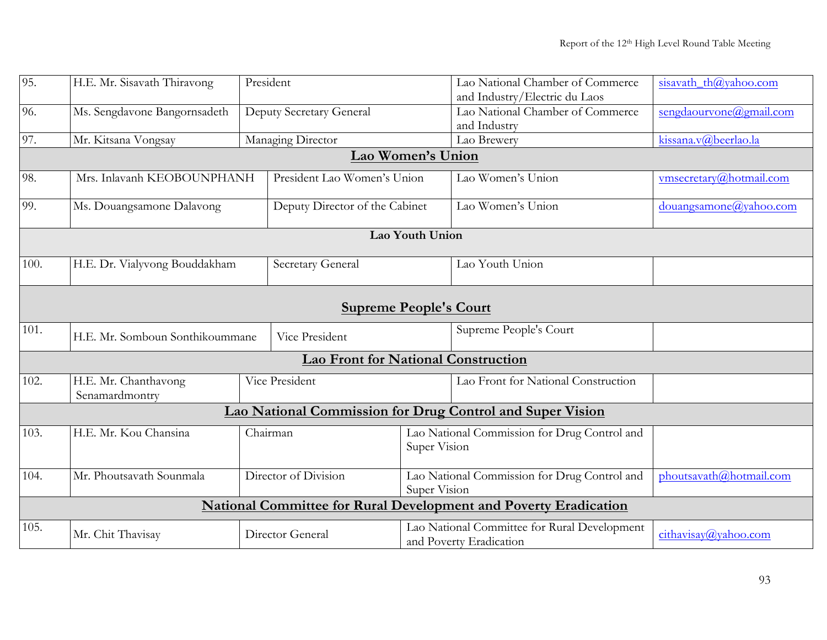| 95.  | H.E. Mr. Sisavath Thiravong                                                 | President |                                            |                   | Lao National Chamber of Commerce<br>and Industry/Electric du Laos | sisavath_th@yahoo.com   |
|------|-----------------------------------------------------------------------------|-----------|--------------------------------------------|-------------------|-------------------------------------------------------------------|-------------------------|
|      |                                                                             |           |                                            |                   |                                                                   |                         |
| 96.  | Ms. Sengdavone Bangornsadeth                                                |           | Deputy Secretary General                   |                   | Lao National Chamber of Commerce                                  | sengdaourvone@gmail.com |
|      |                                                                             |           |                                            |                   | and Industry                                                      |                         |
| 97.  | Mr. Kitsana Vongsay                                                         |           | Managing Director                          |                   | Lao Brewery                                                       | kissana.v@beerlao.la    |
|      |                                                                             |           |                                            | Lao Women's Union |                                                                   |                         |
| 98.  | Mrs. Inlavanh KEOBOUNPHANH                                                  |           | President Lao Women's Union                |                   | Lao Women's Union                                                 | vmsecretary@hotmail.com |
| 99.  | Ms. Douangsamone Dalavong                                                   |           | Deputy Director of the Cabinet             |                   | Lao Women's Union                                                 | douangsamone@yahoo.com  |
|      |                                                                             |           |                                            | Lao Youth Union   |                                                                   |                         |
|      |                                                                             |           |                                            |                   |                                                                   |                         |
| 100. | H.E. Dr. Vialyvong Bouddakham                                               |           | Secretary General                          |                   | Lao Youth Union                                                   |                         |
|      |                                                                             |           |                                            |                   |                                                                   |                         |
|      |                                                                             |           |                                            |                   |                                                                   |                         |
|      |                                                                             |           | <b>Supreme People's Court</b>              |                   |                                                                   |                         |
| 101. | Supreme People's Court<br>Vice President<br>H.E. Mr. Somboun Sonthikoummane |           |                                            |                   |                                                                   |                         |
|      |                                                                             |           | <b>Lao Front for National Construction</b> |                   |                                                                   |                         |
| 102. | H.E. Mr. Chanthavong                                                        |           | Vice President                             |                   | Lao Front for National Construction                               |                         |
|      | Senamardmontry                                                              |           |                                            |                   |                                                                   |                         |
|      | Lao National Commission for Drug Control and Super Vision                   |           |                                            |                   |                                                                   |                         |
| 103. | H.E. Mr. Kou Chansina                                                       | Chairman  |                                            |                   | Lao National Commission for Drug Control and                      |                         |
|      |                                                                             |           |                                            | Super Vision      |                                                                   |                         |
|      |                                                                             |           |                                            |                   |                                                                   |                         |
| 104. | Mr. Phoutsavath Sounmala                                                    |           | Director of Division                       |                   | Lao National Commission for Drug Control and                      | phoutsavath@hotmail.com |
|      |                                                                             |           | Super Vision                               |                   |                                                                   |                         |
|      | <b>National Committee for Rural Development and Poverty Eradication</b>     |           |                                            |                   |                                                                   |                         |
| 105. |                                                                             |           |                                            |                   | Lao National Committee for Rural Development                      |                         |
|      | Mr. Chit Thavisay                                                           |           | Director General                           |                   | and Poverty Eradication                                           | cithavisay@yahoo.com    |
|      |                                                                             |           |                                            |                   |                                                                   |                         |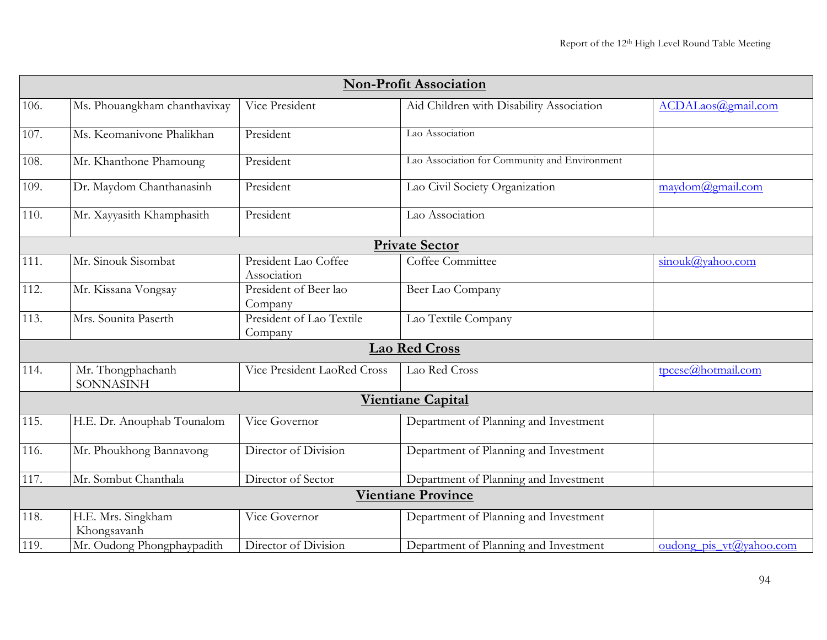|      | <b>Non-Profit Association</b>     |                                     |                                               |                                      |  |  |
|------|-----------------------------------|-------------------------------------|-----------------------------------------------|--------------------------------------|--|--|
| 106. | Ms. Phouangkham chanthavixay      | Vice President                      | Aid Children with Disability Association      | ACDALaos@gmail.com                   |  |  |
| 107. | Ms. Keomanivone Phalikhan         | President                           | Lao Association                               |                                      |  |  |
| 108. | Mr. Khanthone Phamoung            | President                           | Lao Association for Community and Environment |                                      |  |  |
| 109. | Dr. Maydom Chanthanasinh          | President                           | Lao Civil Society Organization                | maydom@gmail.com                     |  |  |
| 110. | Mr. Xayyasith Khamphasith         | President                           | Lao Association                               |                                      |  |  |
|      |                                   |                                     | <b>Private Sector</b>                         |                                      |  |  |
| 111. | Mr. Sinouk Sisombat               | President Lao Coffee<br>Association | Coffee Committee                              | sinouk@yahoo.com                     |  |  |
| 112. | Mr. Kissana Vongsay               | President of Beer lao<br>Company    | Beer Lao Company                              |                                      |  |  |
| 113. | Mrs. Sounita Paserth              | President of Lao Textile<br>Company | Lao Textile Company                           |                                      |  |  |
|      |                                   |                                     | <b>Lao Red Cross</b>                          |                                      |  |  |
| 114. | Mr. Thongphachanh<br>SONNASINH    | Vice President LaoRed Cross         | Lao Red Cross                                 | tpcese@hotmail.com                   |  |  |
|      |                                   |                                     | <b>Vientiane Capital</b>                      |                                      |  |  |
| 115. | H.E. Dr. Anouphab Tounalom        | Vice Governor                       | Department of Planning and Investment         |                                      |  |  |
| 116. | Mr. Phoukhong Bannavong           | Director of Division                | Department of Planning and Investment         |                                      |  |  |
| 117. | Mr. Sombut Chanthala              | Director of Sector                  | Department of Planning and Investment         |                                      |  |  |
|      |                                   |                                     | <b>Vientiane Province</b>                     |                                      |  |  |
| 118. | H.E. Mrs. Singkham<br>Khongsavanh | Vice Governor                       | Department of Planning and Investment         |                                      |  |  |
| 119. | Mr. Oudong Phongphaypadith        | Director of Division                | Department of Planning and Investment         | oudong pis $vt(\partial y)$ ahoo.com |  |  |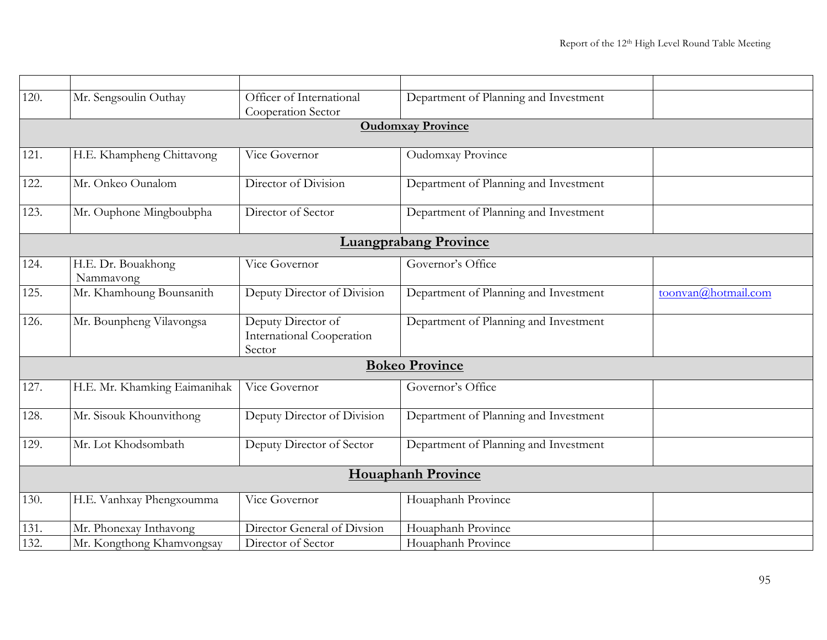| 120. | Mr. Sengsoulin Outhay           | Officer of International                                         | Department of Planning and Investment |                     |
|------|---------------------------------|------------------------------------------------------------------|---------------------------------------|---------------------|
|      |                                 | Cooperation Sector                                               |                                       |                     |
|      |                                 |                                                                  | <b>Oudomxay Province</b>              |                     |
| 121. | H.E. Khampheng Chittavong       | Vice Governor                                                    | Oudomxay Province                     |                     |
| 122. | Mr. Onkeo Ounalom               | Director of Division                                             | Department of Planning and Investment |                     |
| 123. | Mr. Ouphone Mingboubpha         | Director of Sector                                               | Department of Planning and Investment |                     |
|      |                                 |                                                                  | <b>Luangprabang Province</b>          |                     |
| 124. | H.E. Dr. Bouakhong<br>Nammavong | Vice Governor                                                    | Governor's Office                     |                     |
| 125. | Mr. Khamhoung Bounsanith        | Deputy Director of Division                                      | Department of Planning and Investment | toonvan@hotmail.com |
| 126. | Mr. Bounpheng Vilavongsa        | Deputy Director of<br><b>International Cooperation</b><br>Sector | Department of Planning and Investment |                     |
|      |                                 |                                                                  | <b>Bokeo Province</b>                 |                     |
| 127. | H.E. Mr. Khamking Eaimanihak    | Vice Governor                                                    | Governor's Office                     |                     |
| 128. | Mr. Sisouk Khounvithong         | Deputy Director of Division                                      | Department of Planning and Investment |                     |
| 129. | Mr. Lot Khodsombath             | Deputy Director of Sector                                        | Department of Planning and Investment |                     |
|      |                                 |                                                                  | <b>Houaphanh Province</b>             |                     |
| 130. | H.E. Vanhxay Phengxoumma        | Vice Governor                                                    | Houaphanh Province                    |                     |
| 131. | Mr. Phonexay Inthavong          | Director General of Divsion                                      | Houaphanh Province                    |                     |
| 132. | Mr. Kongthong Khamvongsay       | Director of Sector                                               | Houaphanh Province                    |                     |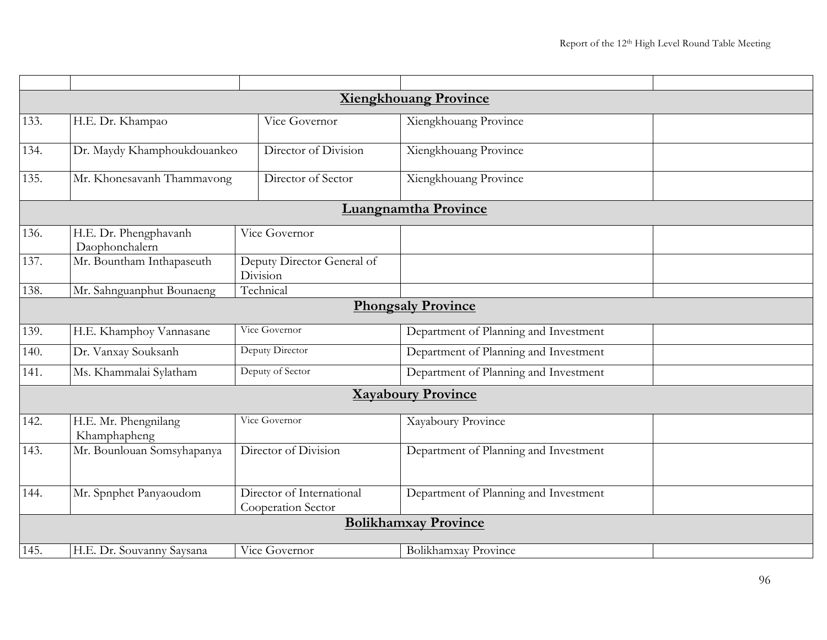|                           | <b>Xiengkhouang Province</b>               |                                                 |                                       |  |  |  |  |
|---------------------------|--------------------------------------------|-------------------------------------------------|---------------------------------------|--|--|--|--|
| 133.                      | H.E. Dr. Khampao                           | Vice Governor                                   | Xiengkhouang Province                 |  |  |  |  |
| 134.                      | Dr. Maydy Khamphoukdouankeo                | Director of Division                            | Xiengkhouang Province                 |  |  |  |  |
| 135.                      | Mr. Khonesavanh Thammavong                 | Director of Sector                              | Xiengkhouang Province                 |  |  |  |  |
|                           |                                            |                                                 | <b>Luangnamtha Province</b>           |  |  |  |  |
| 136.                      | H.E. Dr. Phengphavanh<br>Daophonchalern    | Vice Governor                                   |                                       |  |  |  |  |
| 137.                      | Mr. Bountham Inthapaseuth                  | Deputy Director General of<br>Division          |                                       |  |  |  |  |
| 138.                      | Mr. Sahnguanphut Bounaeng                  | Technical                                       |                                       |  |  |  |  |
|                           |                                            |                                                 | <b>Phongsaly Province</b>             |  |  |  |  |
| 139.                      | H.E. Khamphoy Vannasane                    | Vice Governor                                   | Department of Planning and Investment |  |  |  |  |
| 140.                      | Dr. Vanxay Souksanh                        | Deputy Director                                 | Department of Planning and Investment |  |  |  |  |
| 141.                      | Deputy of Sector<br>Ms. Khammalai Sylatham |                                                 | Department of Planning and Investment |  |  |  |  |
| <b>Xayaboury Province</b> |                                            |                                                 |                                       |  |  |  |  |
| 142.                      | H.E. Mr. Phengnilang<br>Khamphapheng       | Vice Governor                                   | Xayaboury Province                    |  |  |  |  |
| 143.                      | Mr. Bounlouan Somsyhapanya                 | Director of Division                            | Department of Planning and Investment |  |  |  |  |
| 144.                      | Mr. Spnphet Panyaoudom                     | Director of International<br>Cooperation Sector | Department of Planning and Investment |  |  |  |  |
|                           |                                            |                                                 | <b>Bolikhamxay Province</b>           |  |  |  |  |
| 145.                      | H.E. Dr. Souvanny Saysana                  | Vice Governor                                   | Bolikhamxay Province                  |  |  |  |  |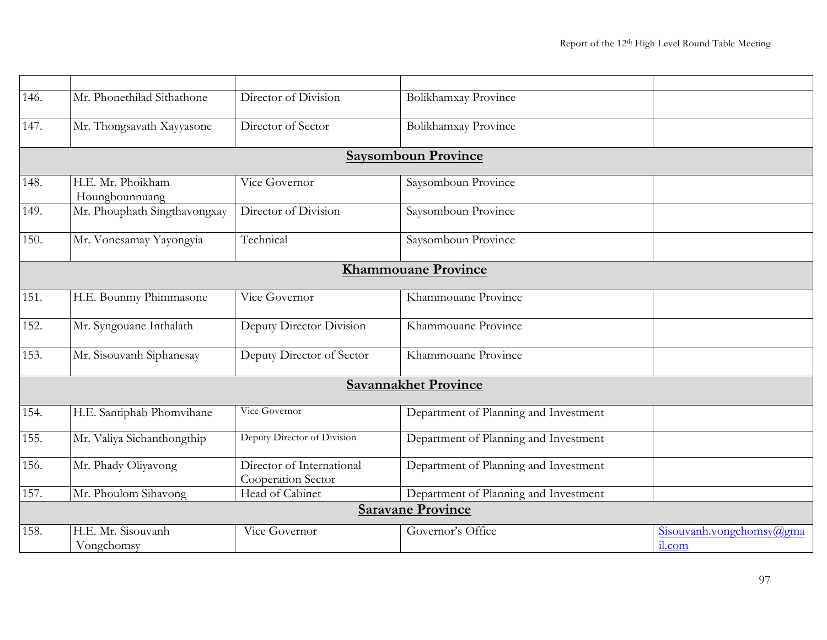| 146. | Mr. Phonethilad Sithathone          | Director of Division                            | Bolikhamxay Province                  |                          |
|------|-------------------------------------|-------------------------------------------------|---------------------------------------|--------------------------|
| 147. | Mr. Thongsavath Xayyasone           | Director of Sector                              | Bolikhamxay Province                  |                          |
|      |                                     |                                                 |                                       |                          |
|      |                                     |                                                 | <b>Saysomboun Province</b>            |                          |
| 148. | H.E. Mr. Phoikham<br>Houngbounnuang | Vice Governor                                   | Saysomboun Province                   |                          |
| 149. | Mr. Phouphath Singthavongxay        | Director of Division                            | Saysomboun Province                   |                          |
| 150. | Mr. Vonesamay Yayongyia             | Technical                                       | Saysomboun Province                   |                          |
|      |                                     |                                                 | <b>Khammouane Province</b>            |                          |
| 151. | H.E. Bounmy Phimmasone              | Vice Governor                                   | Khammouane Province                   |                          |
| 152. | Mr. Syngouane Inthalath             | Deputy Director Division                        | Khammouane Province                   |                          |
| 153. | Mr. Sisouvanh Siphanesay            | Deputy Director of Sector                       | Khammouane Province                   |                          |
|      |                                     |                                                 | <b>Savannakhet Province</b>           |                          |
| 154. | H.E. Santiphab Phomvihane           | Vice Governor                                   | Department of Planning and Investment |                          |
| 155. | Mr. Valiya Sichanthongthip          | Deputy Director of Division                     | Department of Planning and Investment |                          |
| 156. | Mr. Phady Oliyavong                 | Director of International<br>Cooperation Sector | Department of Planning and Investment |                          |
| 157. | Mr. Phoulom Sihavong                | Head of Cabinet                                 | Department of Planning and Investment |                          |
|      |                                     |                                                 | <b>Saravane Province</b>              |                          |
| 158. | H.E. Mr. Sisouvanh                  | Vice Governor                                   | Governor's Office                     | Sisouvanh.vongchomsy@gma |
|      | Vongchomsy                          |                                                 |                                       | il.com                   |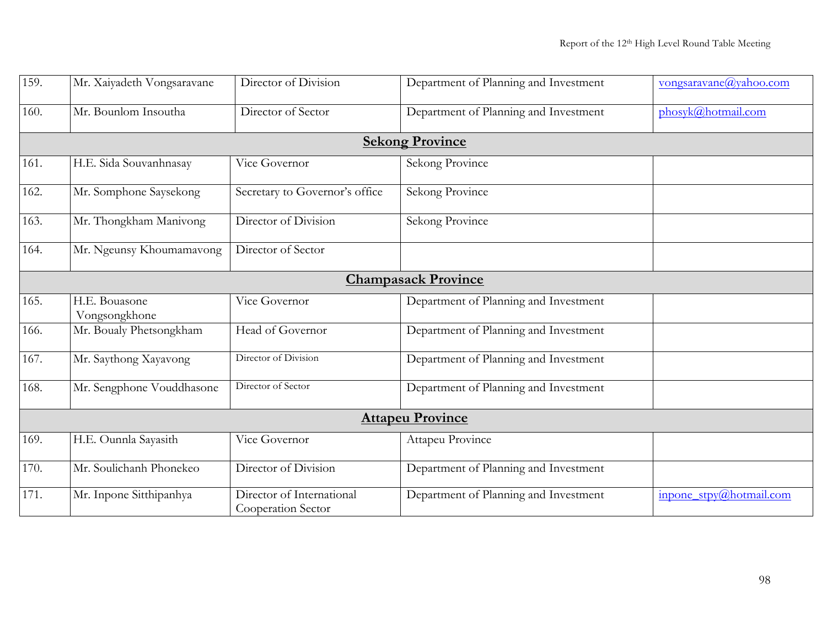| 159.                    | Mr. Xaiyadeth Vongsaravane     | Director of Division                            | Department of Planning and Investment | vongsaravane@yahoo.com  |  |
|-------------------------|--------------------------------|-------------------------------------------------|---------------------------------------|-------------------------|--|
| 160.                    | Mr. Bounlom Insoutha           | Director of Sector                              | Department of Planning and Investment | phosyk@hotmail.com      |  |
|                         |                                |                                                 | <b>Sekong Province</b>                |                         |  |
| 161.                    | H.E. Sida Souvanhnasay         | Vice Governor                                   | Sekong Province                       |                         |  |
| 162.                    | Mr. Somphone Saysekong         | Secretary to Governor's office                  | Sekong Province                       |                         |  |
| 163.                    | Mr. Thongkham Manivong         | Director of Division                            | Sekong Province                       |                         |  |
| 164.                    | Mr. Ngeunsy Khoumamavong       | Director of Sector                              |                                       |                         |  |
|                         |                                |                                                 | <b>Champasack Province</b>            |                         |  |
| 165.                    | H.E. Bouasone<br>Vongsongkhone | Vice Governor                                   | Department of Planning and Investment |                         |  |
| 166.                    | Mr. Boualy Phetsongkham        | Head of Governor                                | Department of Planning and Investment |                         |  |
| 167.                    | Mr. Saythong Xayavong          | Director of Division                            | Department of Planning and Investment |                         |  |
| 168.                    | Mr. Sengphone Vouddhasone      | Director of Sector                              | Department of Planning and Investment |                         |  |
| <b>Attapeu Province</b> |                                |                                                 |                                       |                         |  |
| 169.                    | H.E. Ounnla Sayasith           | Vice Governor                                   | Attapeu Province                      |                         |  |
| 170.                    | Mr. Soulichanh Phonekeo        | Director of Division                            | Department of Planning and Investment |                         |  |
| 171.                    | Mr. Inpone Sitthipanhya        | Director of International<br>Cooperation Sector | Department of Planning and Investment | inpone_stpy@hotmail.com |  |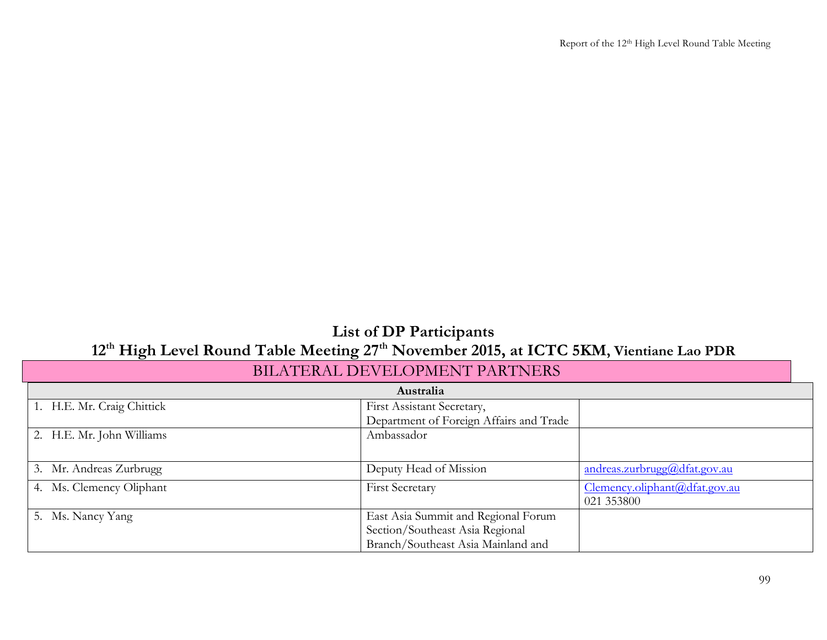## **List of DP Participants 12th High Level Round Table Meeting 27th November 2015, at ICTC 5KM, Vientiane Lao PDR**

| Australia                  |                                         |                               |
|----------------------------|-----------------------------------------|-------------------------------|
| 1. H.E. Mr. Craig Chittick | First Assistant Secretary,              |                               |
|                            | Department of Foreign Affairs and Trade |                               |
| 2. H.E. Mr. John Williams  | Ambassador                              |                               |
|                            |                                         |                               |
| 3. Mr. Andreas Zurbrugg    | Deputy Head of Mission                  | andreas.zurbrugg@dfat.gov.au  |
| 4. Ms. Clemency Oliphant   | <b>First Secretary</b>                  | Clemency.oliphant@dfat.gov.au |
|                            |                                         | 021 353800                    |
| 5. Ms. Nancy Yang          | East Asia Summit and Regional Forum     |                               |
|                            | Section/Southeast Asia Regional         |                               |
|                            | Branch/Southeast Asia Mainland and      |                               |

## BILATERAL DEVELOPMENT PARTNERS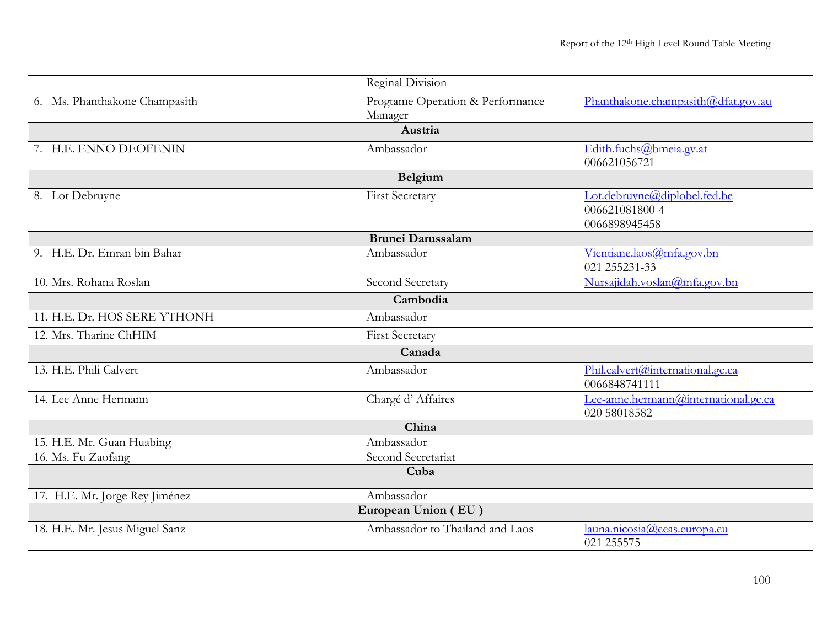|                                | Reginal Division                 |                                            |  |
|--------------------------------|----------------------------------|--------------------------------------------|--|
| 6. Ms. Phanthakone Champasith  | Progtame Operation & Performance | Phanthakone.champasith@dfat.gov.au         |  |
|                                | Manager                          |                                            |  |
|                                | Austria                          |                                            |  |
| 7. H.E. ENNO DEOFENIN          | Ambassador                       | Edith.fuchs@bmeia.gv.at                    |  |
|                                |                                  | 006621056721                               |  |
|                                | Belgium                          |                                            |  |
| 8. Lot Debruyne                | <b>First Secretary</b>           | Lot.debruyne@diplobel.fed.be               |  |
|                                |                                  | 006621081800-4                             |  |
|                                |                                  | 0066898945458                              |  |
|                                | <b>Brunei Darussalam</b>         |                                            |  |
| 9. H.E. Dr. Emran bin Bahar    | Ambassador                       | Vientiane.laos@mfa.gov.bn<br>021 255231-33 |  |
| 10. Mrs. Rohana Roslan         | Second Secretary                 | Nursajidah.voslan@mfa.gov.bn               |  |
|                                |                                  |                                            |  |
|                                | Cambodia                         |                                            |  |
| 11. H.E. Dr. HOS SERE YTHONH   | Ambassador                       |                                            |  |
| 12. Mrs. Tharine ChHIM         | First Secretary                  |                                            |  |
|                                | Canada                           |                                            |  |
| 13. H.E. Phili Calvert         | Ambassador                       | Phil.calvert@international.gc.ca           |  |
|                                |                                  | 0066848741111                              |  |
| 14. Lee Anne Hermann           | Chargé d'Affaires                | Lee-anne.hermann@international.gc.ca       |  |
|                                |                                  | 020 58018582                               |  |
|                                | China                            |                                            |  |
| 15. H.E. Mr. Guan Huabing      | Ambassador                       |                                            |  |
| 16. Ms. Fu Zaofang             | Second Secretariat               |                                            |  |
| Cuba                           |                                  |                                            |  |
| 17. H.E. Mr. Jorge Rey Jiménez | Ambassador                       |                                            |  |
|                                | European Union (EU)              |                                            |  |
| 18. H.E. Mr. Jesus Miguel Sanz | Ambassador to Thailand and Laos  | launa.nicosia@eeas.europa.eu               |  |
|                                |                                  | 021 255575                                 |  |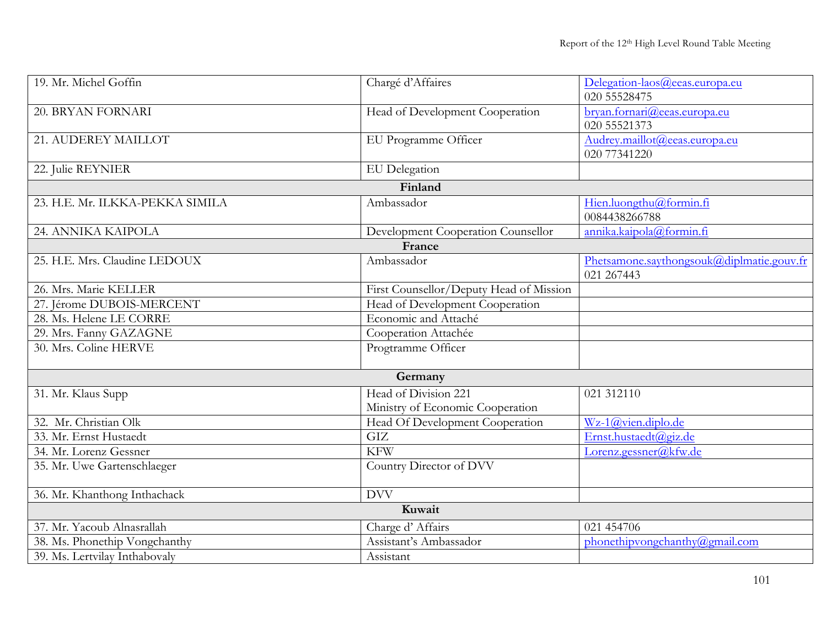| 19. Mr. Michel Goffin           | Chargé d'Affaires                       | Delegation-laos@eeas.europa.eu            |
|---------------------------------|-----------------------------------------|-------------------------------------------|
|                                 |                                         | 020 55528475                              |
| 20. BRYAN FORNARI               | Head of Development Cooperation         | bryan.fornari@eeas.europa.eu              |
|                                 |                                         | 020 55521373                              |
| 21. AUDEREY MAILLOT             | EU Programme Officer                    | Audrey.maillot@eeas.europa.eu             |
|                                 |                                         | 020 77341220                              |
| 22. Julie REYNIER               | <b>EU</b> Delegation                    |                                           |
|                                 | Finland                                 |                                           |
| 23. H.E. Mr. ILKKA-PEKKA SIMILA | Ambassador                              | Hien.luongthu@formin.fi                   |
|                                 |                                         | 0084438266788                             |
| 24. ANNIKA KAIPOLA              | Development Cooperation Counsellor      | annika.kaipola@formin.fi                  |
|                                 | France                                  |                                           |
| 25. H.E. Mrs. Claudine LEDOUX   | Ambassador                              | Phetsamone.saythongsouk@diplmatie.gouv.fr |
|                                 |                                         | 021 267443                                |
| 26. Mrs. Marie KELLER           | First Counsellor/Deputy Head of Mission |                                           |
| 27. Jérome DUBOIS-MERCENT       | Head of Development Cooperation         |                                           |
| 28. Ms. Helene LE CORRE         | Economic and Attaché                    |                                           |
| 29. Mrs. Fanny GAZAGNE          | Cooperation Attachée                    |                                           |
| 30. Mrs. Coline HERVE           | Progtramme Officer                      |                                           |
|                                 | Germany                                 |                                           |
| 31. Mr. Klaus Supp              | Head of Division 221                    | 021 312110                                |
|                                 | Ministry of Economic Cooperation        |                                           |
| 32. Mr. Christian Olk           | Head Of Development Cooperation         | Wz-1@vien.diplo.de                        |
| 33. Mr. Ernst Hustaedt          | GIZ                                     | Ernst.hustaedt@giz.de                     |
| 34. Mr. Lorenz Gessner          | <b>KFW</b>                              | Lorenz.gessner@kfw.de                     |
| 35. Mr. Uwe Gartenschlaeger     | Country Director of DVV                 |                                           |
|                                 |                                         |                                           |
| 36. Mr. Khanthong Inthachack    | <b>DVV</b>                              |                                           |
|                                 | Kuwait                                  |                                           |
| 37. Mr. Yacoub Alnasrallah      | Charge d'Affairs                        | 021 454706                                |
| 38. Ms. Phonethip Vongchanthy   | Assistant's Ambassador                  | phonethipyongchanthy@gmail.com            |
| 39. Ms. Lertvilay Inthabovaly   | Assistant                               |                                           |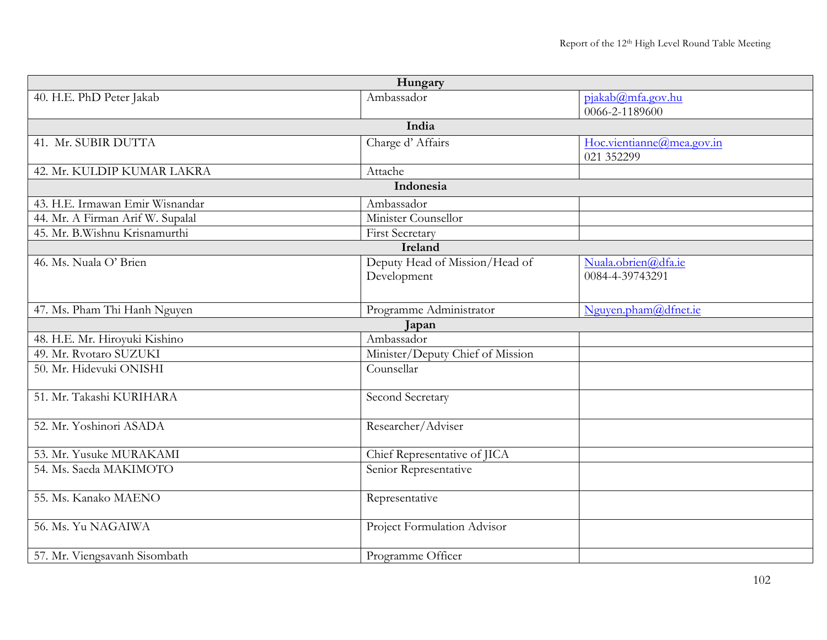|                                  | Hungary                          |                                         |  |
|----------------------------------|----------------------------------|-----------------------------------------|--|
| 40. H.E. PhD Peter Jakab         | Ambassador                       | pjakab@mfa.gov.hu                       |  |
|                                  |                                  | 0066-2-1189600                          |  |
|                                  | India                            |                                         |  |
| 41. Mr. SUBIR DUTTA              | Charge d'Affairs                 | Hoc.vientianne@mea.gov.in<br>021 352299 |  |
| 42. Mr. KULDIP KUMAR LAKRA       | Attache                          |                                         |  |
|                                  | Indonesia                        |                                         |  |
| 43. H.E. Irmawan Emir Wisnandar  | Ambassador                       |                                         |  |
| 44. Mr. A Firman Arif W. Supalal | Minister Counsellor              |                                         |  |
| 45. Mr. B.Wishnu Krisnamurthi    | First Secretary                  |                                         |  |
|                                  | Ireland                          |                                         |  |
| 46. Ms. Nuala O' Brien           | Deputy Head of Mission/Head of   | Nuala.obrien@dfa.ie                     |  |
|                                  | Development                      | 0084-4-39743291                         |  |
|                                  |                                  |                                         |  |
| 47. Ms. Pham Thi Hanh Nguyen     | Programme Administrator          | Nguyen.pham@dfnet.ie                    |  |
|                                  | Japan                            |                                         |  |
| 48. H.E. Mr. Hiroyuki Kishino    | Ambassador                       |                                         |  |
| 49. Mr. Rvotaro SUZUKI           | Minister/Deputy Chief of Mission |                                         |  |
| 50. Mr. Hidevuki ONISHI          | Counsellar                       |                                         |  |
|                                  |                                  |                                         |  |
| 51. Mr. Takashi KURIHARA         | Second Secretary                 |                                         |  |
|                                  |                                  |                                         |  |
| 52. Mr. Yoshinori ASADA          | Researcher/Adviser               |                                         |  |
| 53. Mr. Yusuke MURAKAMI          | Chief Representative of JICA     |                                         |  |
| 54. Ms. Saeda MAKIMOTO           | Senior Representative            |                                         |  |
|                                  |                                  |                                         |  |
| 55. Ms. Kanako MAENO             | Representative                   |                                         |  |
|                                  |                                  |                                         |  |
| 56. Ms. Yu NAGAIWA               | Project Formulation Advisor      |                                         |  |
|                                  |                                  |                                         |  |
| 57. Mr. Viengsavanh Sisombath    | Programme Officer                |                                         |  |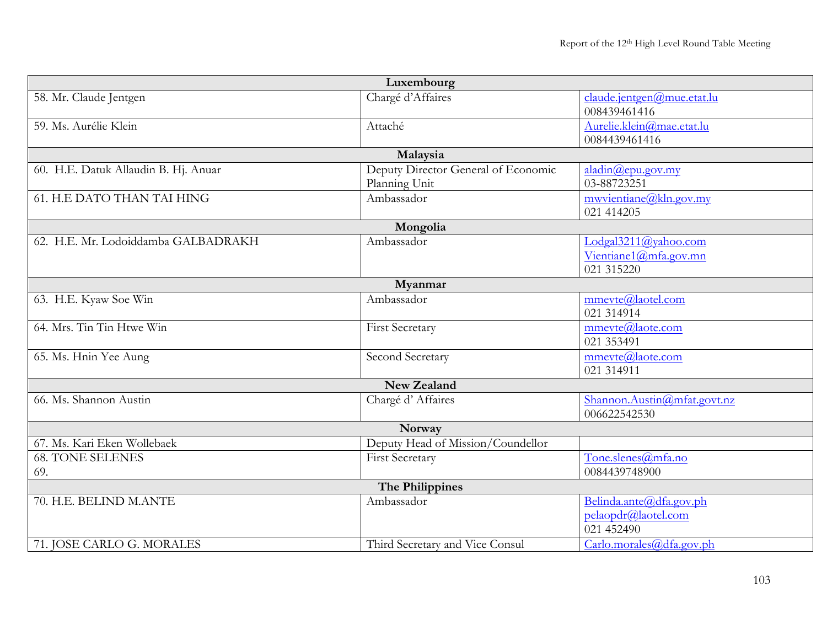| Luxembourg                           |                                     |                             |  |
|--------------------------------------|-------------------------------------|-----------------------------|--|
| 58. Mr. Claude Jentgen               | Chargé d'Affaires                   | claude.jentgen@mue.etat.lu  |  |
|                                      |                                     | 008439461416                |  |
| 59. Ms. Aurélie Klein                | Attaché                             | Aurelie.klein@mae.etat.lu   |  |
|                                      |                                     | 0084439461416               |  |
|                                      | Malaysia                            |                             |  |
| 60. H.E. Datuk Allaudin B. Hj. Anuar | Deputy Director General of Economic | aladin@epu.gov(my           |  |
|                                      | Planning Unit                       | 03-88723251                 |  |
| <b>61. H.E DATO THAN TAI HING</b>    | Ambassador                          | mwyientiane@kln.gov.my      |  |
|                                      |                                     | 021 414205                  |  |
|                                      | Mongolia                            |                             |  |
| 62. H.E. Mr. Lodoiddamba GALBADRAKH  | Ambassador                          | Lodgal3211@yahoo.com        |  |
|                                      |                                     | Vientiane1@mfa.gov.mn       |  |
|                                      |                                     | 021 315220                  |  |
|                                      | Myanmar                             |                             |  |
| 63. H.E. Kyaw Soe Win                | Ambassador                          | mmevte@laotel.com           |  |
|                                      |                                     | 021 314914                  |  |
| 64. Mrs. Tin Tin Htwe Win            | <b>First Secretary</b>              | mmevte@laote.com            |  |
|                                      |                                     | 021 353491                  |  |
| 65. Ms. Hnin Yee Aung                | Second Secretary                    | mmevte@laote.com            |  |
|                                      |                                     | 021 314911                  |  |
|                                      | New Zealand                         |                             |  |
| 66. Ms. Shannon Austin               | Chargé d'Affaires                   | Shannon.Austin@mfat.govt.nz |  |
|                                      |                                     | 006622542530                |  |
|                                      | Norway                              |                             |  |
| 67. Ms. Kari Eken Wollebaek          | Deputy Head of Mission/Coundellor   |                             |  |
| <b>68. TONE SELENES</b>              | First Secretary                     | Tone.slenes@mfa.no          |  |
| 69.                                  |                                     | 0084439748900               |  |
| The Philippines                      |                                     |                             |  |
| 70. H.E. BELIND M.ANTE               | Ambassador                          | Belinda.ante@dfa.gov.ph     |  |
|                                      |                                     | pelaopdr@laotel.com         |  |
|                                      |                                     | 021 452490                  |  |
| 71. JOSE CARLO G. MORALES            | Third Secretary and Vice Consul     | Carlo.morales@dfa.gov.ph    |  |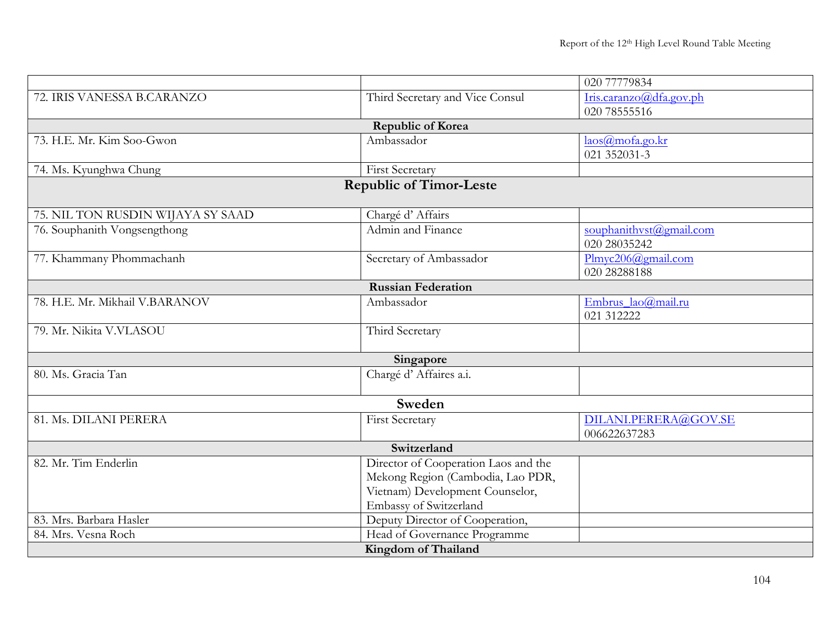|                                   |                                      | 020 77779834            |  |  |
|-----------------------------------|--------------------------------------|-------------------------|--|--|
| 72. IRIS VANESSA B.CARANZO        | Third Secretary and Vice Consul      | Iris.caranzo@dfa.gov.ph |  |  |
|                                   |                                      | 020 78555516            |  |  |
|                                   | <b>Republic of Korea</b>             |                         |  |  |
| 73. H.E. Mr. Kim Soo-Gwon         | Ambassador                           | $l$ aos@mofa.go.kr      |  |  |
|                                   |                                      | 021 352031-3            |  |  |
| 74. Ms. Kyunghwa Chung            | <b>First Secretary</b>               |                         |  |  |
|                                   | <b>Republic of Timor-Leste</b>       |                         |  |  |
|                                   |                                      |                         |  |  |
| 75. NIL TON RUSDIN WIJAYA SY SAAD | Chargé d'Affairs                     |                         |  |  |
| 76. Souphanith Vongsengthong      | Admin and Finance                    | souphanithvst@gmail.com |  |  |
|                                   |                                      | 020 28035242            |  |  |
| 77. Khammany Phommachanh          | Secretary of Ambassador              | Plmyc206@gmail.com      |  |  |
|                                   |                                      | 020 28288188            |  |  |
|                                   | <b>Russian Federation</b>            |                         |  |  |
| 78. H.E. Mr. Mikhail V.BARANOV    | Ambassador                           | Embrus_lao@mail.ru      |  |  |
|                                   |                                      | 021 312222              |  |  |
| 79. Mr. Nikita V.VLASOU           | Third Secretary                      |                         |  |  |
|                                   |                                      |                         |  |  |
|                                   | Singapore                            |                         |  |  |
| 80. Ms. Gracia Tan                | Chargé d'Affaires a.i.               |                         |  |  |
|                                   |                                      |                         |  |  |
|                                   | Sweden                               |                         |  |  |
| 81. Ms. DILANI PERERA             | <b>First Secretary</b>               | DILANI.PERERA@GOV.SE    |  |  |
|                                   |                                      | 006622637283            |  |  |
| Switzerland                       |                                      |                         |  |  |
| 82. Mr. Tim Enderlin              | Director of Cooperation Laos and the |                         |  |  |
|                                   | Mekong Region (Cambodia, Lao PDR,    |                         |  |  |
|                                   | Vietnam) Development Counselor,      |                         |  |  |
|                                   | <b>Embassy of Switzerland</b>        |                         |  |  |
| 83. Mrs. Barbara Hasler           | Deputy Director of Cooperation,      |                         |  |  |
| 84. Mrs. Vesna Roch               | Head of Governance Programme         |                         |  |  |
|                                   | Kingdom of Thailand                  |                         |  |  |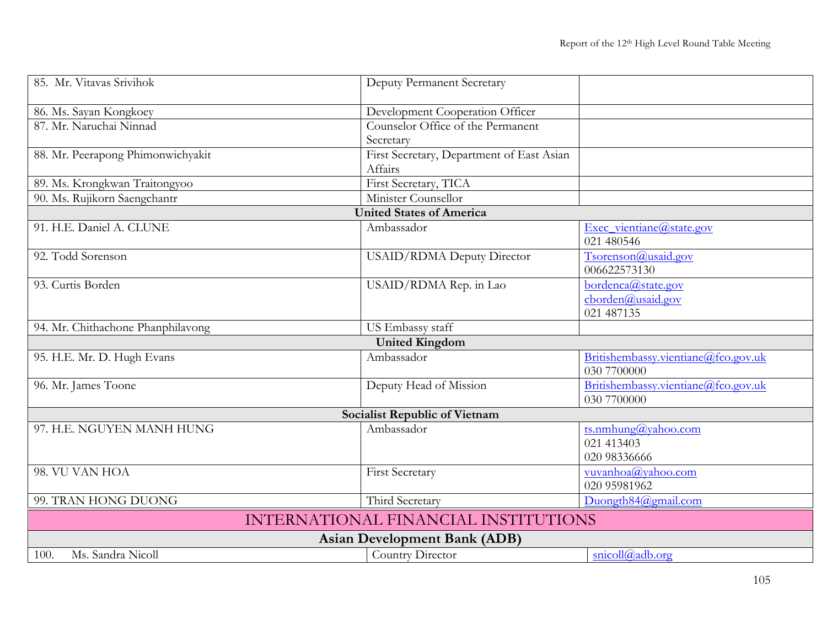| 85. Mr. Vitavas Srivihok             | Deputy Permanent Secretary                           |                                                       |  |
|--------------------------------------|------------------------------------------------------|-------------------------------------------------------|--|
| 86. Ms. Sayan Kongkoey               | Development Cooperation Officer                      |                                                       |  |
| 87. Mr. Naruchai Ninnad              | Counselor Office of the Permanent<br>Secretary       |                                                       |  |
| 88. Mr. Peerapong Phimonwichyakit    | First Secretary, Department of East Asian<br>Affairs |                                                       |  |
| 89. Ms. Krongkwan Traitongyoo        | First Secretary, TICA                                |                                                       |  |
| 90. Ms. Rujikorn Saengchantr         | Minister Counsellor                                  |                                                       |  |
|                                      | <b>United States of America</b>                      |                                                       |  |
| 91. H.E. Daniel A. CLUNE             | Ambassador                                           | Exec_vientiane@state.gov<br>021 480546                |  |
| 92. Todd Sorenson                    | USAID/RDMA Deputy Director                           | Tsorenson@usaid.gov<br>006622573130                   |  |
| 93. Curtis Borden                    | USAID/RDMA Rep. in Lao                               | bordenca@state.gov<br>cborden@usaid.gov<br>021 487135 |  |
| 94. Mr. Chithachone Phanphilavong    | US Embassy staff                                     |                                                       |  |
|                                      | <b>United Kingdom</b>                                |                                                       |  |
| 95. H.E. Mr. D. Hugh Evans           | Ambassador                                           | Britishembassy.vientiane@fco.gov.uk<br>030 7700000    |  |
| 96. Mr. James Toone                  | Deputy Head of Mission                               | Britishembassy.vientiane@fco.gov.uk<br>030 7700000    |  |
|                                      | Socialist Republic of Vietnam                        |                                                       |  |
| 97. H.E. NGUYEN MANH HUNG            | Ambassador                                           | ts.nmhung@yahoo.com<br>021 413403<br>020 98336666     |  |
| 98. VU VAN HOA                       | <b>First Secretary</b>                               | vuvanhoa@yahoo.com<br>020 95981962                    |  |
| 99. TRAN HONG DUONG                  | Third Secretary                                      | Duongth $84$ @gmail.com                               |  |
| INTERNATIONAL FINANCIAL INSTITUTIONS |                                                      |                                                       |  |
|                                      | <b>Asian Development Bank (ADB)</b>                  |                                                       |  |
| Ms. Sandra Nicoll<br>100.            | Country Director                                     | snicoll@adb.org                                       |  |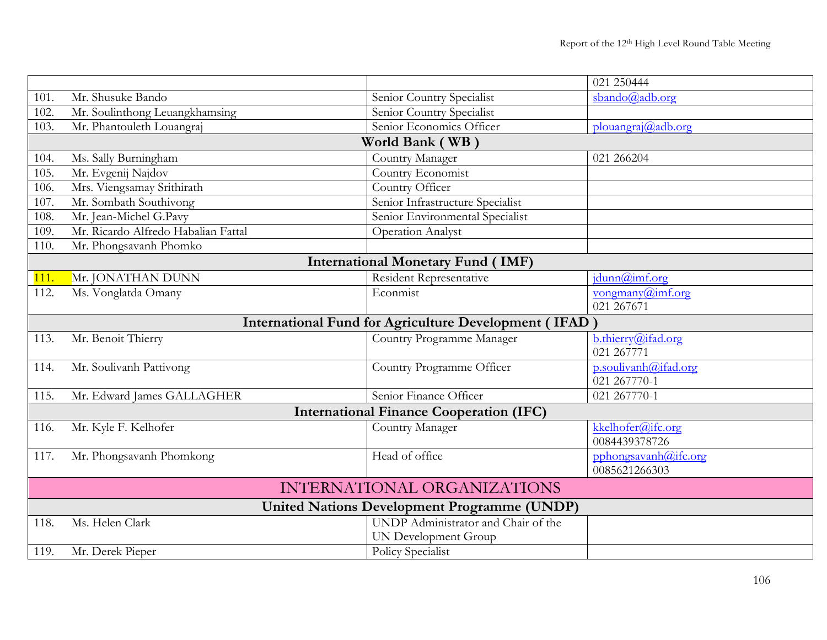|      |                                     |                                                              | 021 250444                                       |
|------|-------------------------------------|--------------------------------------------------------------|--------------------------------------------------|
| 101. | Mr. Shusuke Bando                   | Senior Country Specialist                                    | sbando@adb.org                                   |
| 102. | Mr. Soulinthong Leuangkhamsing      | Senior Country Specialist                                    |                                                  |
| 103. | Mr. Phantouleth Louangraj           | Senior Economics Officer                                     | $plouangra$ <sub>j</sub> $@$ <sub>ad</sub> b.org |
|      |                                     | World Bank (WB)                                              |                                                  |
| 104. | Ms. Sally Burningham                | Country Manager                                              | 021 266204                                       |
| 105. | Mr. Evgenij Najdov                  | Country Economist                                            |                                                  |
| 106. | Mrs. Viengsamay Srithirath          | Country Officer                                              |                                                  |
| 107. | Mr. Sombath Southivong              | Senior Infrastructure Specialist                             |                                                  |
| 108. | Mr. Jean-Michel G.Pavy              | Senior Environmental Specialist                              |                                                  |
| 109. | Mr. Ricardo Alfredo Habalian Fattal | <b>Operation Analyst</b>                                     |                                                  |
| 110. | Mr. Phongsavanh Phomko              |                                                              |                                                  |
|      |                                     | <b>International Monetary Fund (IMF)</b>                     |                                                  |
| 111. | Mr. JONATHAN DUNN                   | Resident Representative                                      | idunn@imf.org                                    |
| 112. | Ms. Vonglatda Omany                 | Econmist                                                     | vongmany@imf.org                                 |
|      |                                     |                                                              | 021 267671                                       |
|      |                                     | <b>International Fund for Agriculture Development (IFAD)</b> |                                                  |
| 113. | Mr. Benoit Thierry                  | Country Programme Manager                                    | b.thierry@ifad.org                               |
|      |                                     |                                                              | 021 267771                                       |
| 114. | Mr. Soulivanh Pattivong             | Country Programme Officer                                    | p.soulivanh@ifad.org                             |
|      |                                     |                                                              | 021 267770-1                                     |
| 115. | Mr. Edward James GALLAGHER          | Senior Finance Officer                                       | 021 267770-1                                     |
|      |                                     | <b>International Finance Cooperation (IFC)</b>               |                                                  |
| 116. | Mr. Kyle F. Kelhofer                | Country Manager                                              | kkelhofer@ifc.org                                |
|      |                                     |                                                              | 0084439378726                                    |
| 117. | Mr. Phongsavanh Phomkong            | Head of office                                               | pphongsavanh@ifc.org                             |
|      |                                     |                                                              | 0085621266303                                    |
|      |                                     | <b>INTERNATIONAL ORGANIZATIONS</b>                           |                                                  |
|      |                                     | <b>United Nations Development Programme (UNDP)</b>           |                                                  |
| 118. | Ms. Helen Clark                     | UNDP Administrator and Chair of the                          |                                                  |
|      |                                     | <b>UN Development Group</b>                                  |                                                  |
| 119. | Mr. Derek Pieper                    | <b>Policy Specialist</b>                                     |                                                  |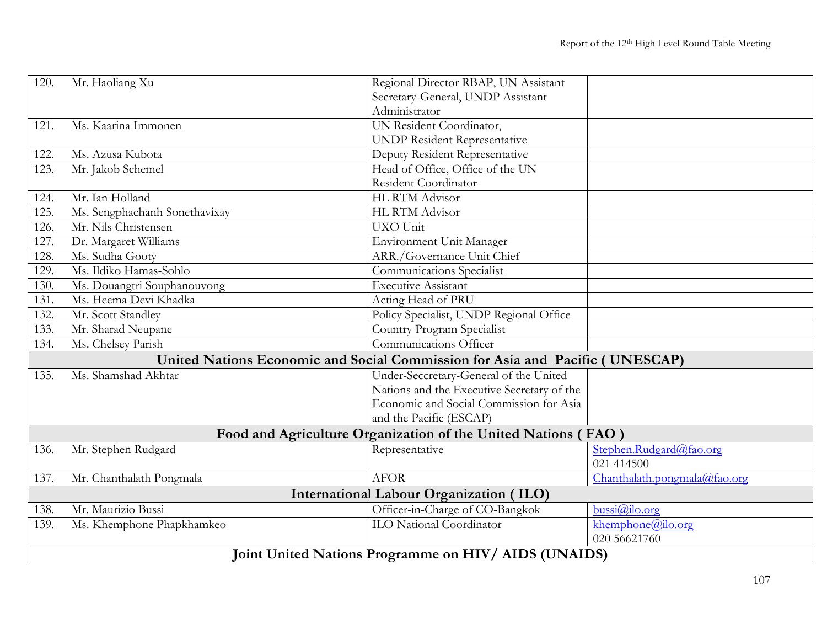| 120. | Mr. Haoliang Xu                                      | Regional Director RBAP, UN Assistant                                         |                              |  |
|------|------------------------------------------------------|------------------------------------------------------------------------------|------------------------------|--|
|      |                                                      | Secretary-General, UNDP Assistant                                            |                              |  |
|      |                                                      | Administrator                                                                |                              |  |
| 121. | Ms. Kaarina Immonen                                  | UN Resident Coordinator,                                                     |                              |  |
|      |                                                      | <b>UNDP Resident Representative</b>                                          |                              |  |
| 122. | Ms. Azusa Kubota                                     | Deputy Resident Representative                                               |                              |  |
| 123. | Mr. Jakob Schemel                                    | Head of Office, Office of the UN                                             |                              |  |
|      |                                                      | Resident Coordinator                                                         |                              |  |
| 124. | Mr. Ian Holland                                      | HL RTM Advisor                                                               |                              |  |
| 125. | Ms. Sengphachanh Sonethavixay                        | HL RTM Advisor                                                               |                              |  |
| 126. | Mr. Nils Christensen                                 | UXO Unit                                                                     |                              |  |
| 127. | Dr. Margaret Williams                                | Environment Unit Manager                                                     |                              |  |
| 128. | Ms. Sudha Gooty                                      | ARR./Governance Unit Chief                                                   |                              |  |
| 129. | Ms. Ildiko Hamas-Sohlo                               | Communications Specialist                                                    |                              |  |
| 130. | Ms. Douangtri Souphanouvong                          | Executive Assistant                                                          |                              |  |
| 131. | Ms. Heema Devi Khadka                                | Acting Head of PRU                                                           |                              |  |
| 132. | Mr. Scott Standley                                   | Policy Specialist, UNDP Regional Office                                      |                              |  |
| 133. | Mr. Sharad Neupane                                   | Country Program Specialist                                                   |                              |  |
| 134. | Ms. Chelsey Parish                                   | Communications Officer                                                       |                              |  |
|      |                                                      | United Nations Economic and Social Commission for Asia and Pacific (UNESCAP) |                              |  |
| 135. | Ms. Shamshad Akhtar                                  | Under-Seccretary-General of the United                                       |                              |  |
|      |                                                      | Nations and the Executive Secretary of the                                   |                              |  |
|      |                                                      | Economic and Social Commission for Asia                                      |                              |  |
|      |                                                      | and the Pacific (ESCAP)                                                      |                              |  |
|      |                                                      | Food and Agriculture Organization of the United Nations (FAO                 |                              |  |
| 136. | Mr. Stephen Rudgard                                  | Representative                                                               | Stephen.Rudgard@fao.org      |  |
|      |                                                      |                                                                              | 021 414500                   |  |
| 137. | Mr. Chanthalath Pongmala                             | <b>AFOR</b>                                                                  | Chanthalath.pongmala@fao.org |  |
|      |                                                      | <b>International Labour Organization (ILO)</b>                               |                              |  |
| 138. | Mr. Maurizio Bussi                                   | Officer-in-Charge of CO-Bangkok                                              | bussi@ilo.org                |  |
| 139. | Ms. Khemphone Phapkhamkeo                            | <b>ILO National Coordinator</b>                                              | khemphone@ilo.org            |  |
|      |                                                      |                                                                              | 020 56621760                 |  |
|      | Joint United Nations Programme on HIV/ AIDS (UNAIDS) |                                                                              |                              |  |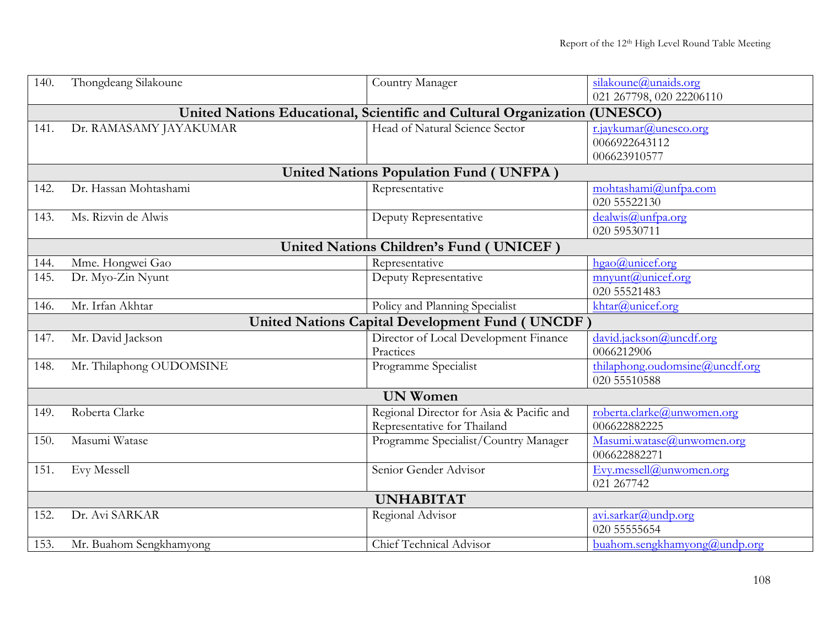| 140. | Thongdeang Silakoune     | Country Manager                                                  | silakoune@unaids.org           |
|------|--------------------------|------------------------------------------------------------------|--------------------------------|
|      |                          |                                                                  | 021 267798, 020 22206110       |
|      |                          | United Nations Educational, Scientific and Cultural Organization | (UNESCO)                       |
| 141. | Dr. RAMASAMY JAYAKUMAR   | Head of Natural Science Sector                                   | r.jaykumar@unesco.org          |
|      |                          |                                                                  | 0066922643112                  |
|      |                          |                                                                  | 006623910577                   |
|      |                          | <b>United Nations Population Fund (UNFPA)</b>                    |                                |
| 142. | Dr. Hassan Mohtashami    | Representative                                                   | mohtashami@unfpa.com           |
|      |                          |                                                                  | 020 55522130                   |
| 143. | Ms. Rizvin de Alwis      | Deputy Representative                                            | dealwis@unfpa.org              |
|      |                          |                                                                  | 020 59530711                   |
|      |                          | <b>United Nations Children's Fund ( UNICEF )</b>                 |                                |
| 144. | Mme. Hongwei Gao         | Representative                                                   | $hgao@$ unicef.org             |
| 145. | Dr. Myo-Zin Nyunt        | Deputy Representative                                            | mnyunt@unicef.org              |
|      |                          |                                                                  | 020 55521483                   |
| 146. | Mr. Irfan Akhtar         | Policy and Planning Specialist                                   | khtar@unicef.org               |
|      |                          | <b>United Nations Capital Development Fund (UNCDF</b>            |                                |
| 147. | Mr. David Jackson        | Director of Local Development Finance                            | david.jackson@uncdf.org        |
|      |                          | Practices                                                        | 0066212906                     |
| 148. | Mr. Thilaphong OUDOMSINE | Programme Specialist                                             | thilaphong.oudomsine@uncdf.org |
|      |                          |                                                                  | 020 55510588                   |
|      |                          | <b>UN Women</b>                                                  |                                |
| 149. | Roberta Clarke           | Regional Director for Asia & Pacific and                         | roberta.clarke@unwomen.org     |
|      |                          | Representative for Thailand                                      | 006622882225                   |
| 150. | Masumi Watase            | Programme Specialist/Country Manager                             | Masumi.watase@unwomen.org      |
|      |                          |                                                                  | 006622882271                   |
| 151. | Evy Messell              | Senior Gender Advisor                                            | Evy.messell@unwomen.org        |
|      |                          |                                                                  | 021 267742                     |
|      |                          | <b>UNHABITAT</b>                                                 |                                |
| 152. | Dr. Avi SARKAR           | Regional Advisor                                                 | avi.sarkar@undp.org            |
|      |                          |                                                                  | 020 55555654                   |
| 153. | Mr. Buahom Sengkhamyong  | Chief Technical Advisor                                          | buahom.sengkhamyong@undp.org   |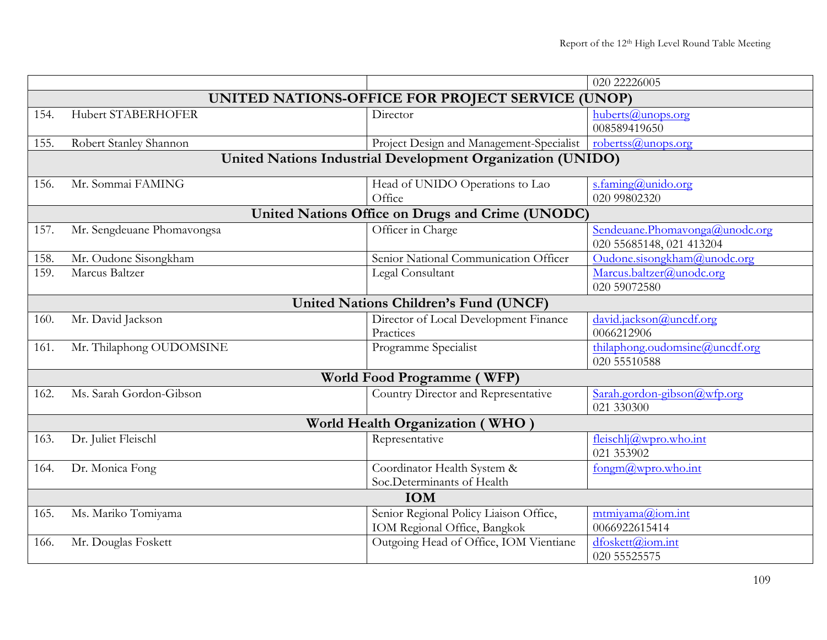|      |                            |                                                            | 020 22226005                   |
|------|----------------------------|------------------------------------------------------------|--------------------------------|
|      |                            | UNITED NATIONS-OFFICE FOR PROJECT SERVICE (UNOP)           |                                |
| 154. | <b>Hubert STABERHOFER</b>  | Director                                                   | huberts@unops.org              |
|      |                            |                                                            | 008589419650                   |
| 155. | Robert Stanley Shannon     | Project Design and Management-Specialist                   | robertss@unops.org             |
|      |                            | United Nations Industrial Development Organization (UNIDO) |                                |
| 156. | Mr. Sommai FAMING          | Head of UNIDO Operations to Lao                            | s.faming@unido.org             |
|      |                            | Office                                                     | 020 99802320                   |
|      |                            | United Nations Office on Drugs and Crime (UNODC)           |                                |
| 157. | Mr. Sengdeuane Phomavongsa | Officer in Charge                                          | Sendeuane.Phomavonga@unodc.org |
|      |                            |                                                            | 020 55685148, 021 413204       |
| 158. | Mr. Oudone Sisongkham      | Senior National Communication Officer                      | Oudone.sisongkham@unodc.org    |
| 159. | Marcus Baltzer             | Legal Consultant                                           | Marcus.baltzer@unodc.org       |
|      |                            |                                                            | 020 59072580                   |
|      |                            | <b>United Nations Children's Fund (UNCF)</b>               |                                |
| 160. | Mr. David Jackson          | Director of Local Development Finance                      | david.jackson@uncdf.org        |
|      |                            | Practices                                                  | 0066212906                     |
| 161. | Mr. Thilaphong OUDOMSINE   | Programme Specialist                                       | thilaphong.oudomsine@uncdf.org |
|      |                            |                                                            | 020 55510588                   |
|      |                            | World Food Programme (WFP)                                 |                                |
| 162. | Ms. Sarah Gordon-Gibson    | Country Director and Representative                        | Sarah.gordon-gibson@wfp.org    |
|      |                            |                                                            | 021 330300                     |
|      |                            | World Health Organization (WHO)                            |                                |
| 163. | Dr. Juliet Fleischl        | Representative                                             | fleischlj@wpro.who.int         |
|      |                            |                                                            | 021 353902                     |
| 164. | Dr. Monica Fong            | Coordinator Health System &                                | fongm@wpro.who.int             |
|      |                            | Soc.Determinants of Health                                 |                                |
|      |                            | <b>IOM</b>                                                 |                                |
| 165. | Ms. Mariko Tomiyama        | Senior Regional Policy Liaison Office,                     | mtmiyama@iom.int               |
|      |                            | IOM Regional Office, Bangkok                               | 0066922615414                  |
| 166. | Mr. Douglas Foskett        | Outgoing Head of Office, IOM Vientiane                     | dfoskett@iom.int               |
|      |                            |                                                            | 020 55525575                   |